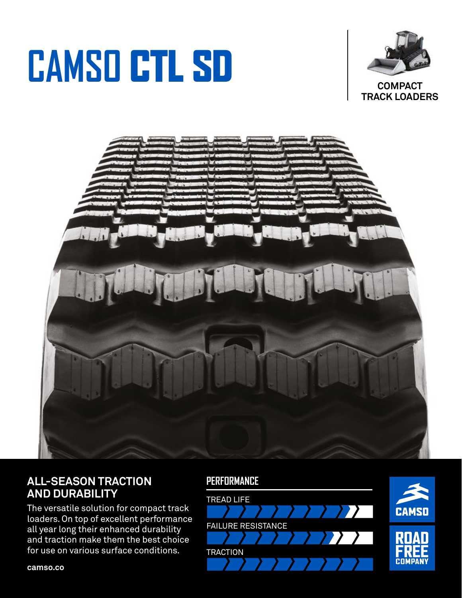# CAMSO CTL SD



**COMPACT TRACK LOADERS** 



### **ALL-SEASON TRACTION AND DURABILITY**

The versatile solution for compact track loaders. On top of excellent performance all year long their enhanced durability and traction make them the best choice for use on various surface conditions.

#### **PERFORMANCE**



**camso.co**